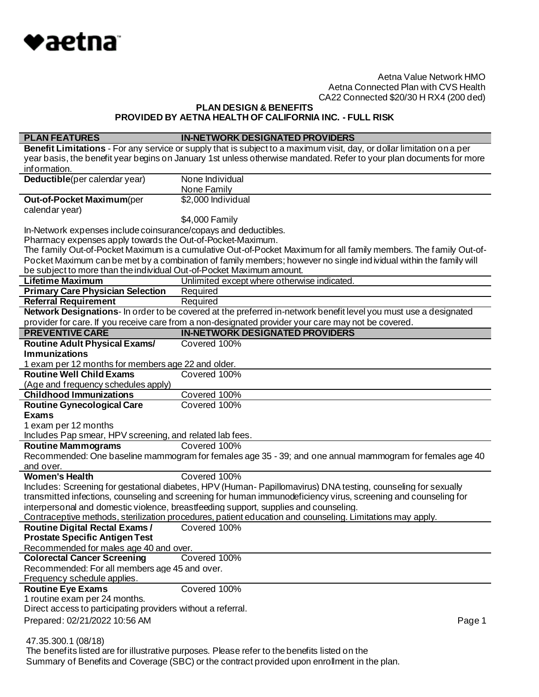

**PLAN DESIGN & BENEFITS**

**PROVIDED BY AETNA HEALTH OF CALIFORNIA INC. - FULL RISK**

| <b>PLAN FEATURES</b>                                                                                                          | <b>IN-NETWORK DESIGNATED PROVIDERS</b>                                                                                 |
|-------------------------------------------------------------------------------------------------------------------------------|------------------------------------------------------------------------------------------------------------------------|
|                                                                                                                               | Benefit Limitations - For any service or supply that is subject to a maximum visit, day, or dollar limitation on a per |
|                                                                                                                               | year basis, the benefit year begins on January 1st unless otherwise mandated. Refer to your plan documents for more    |
| information.                                                                                                                  |                                                                                                                        |
| Deductible(per calendar year)                                                                                                 | None Individual                                                                                                        |
|                                                                                                                               | None Family                                                                                                            |
| Out-of-Pocket Maximum(per                                                                                                     | \$2,000 Individual                                                                                                     |
| calendar year)                                                                                                                |                                                                                                                        |
|                                                                                                                               | \$4,000 Family                                                                                                         |
| In-Network expenses include coinsurance/copays and deductibles.<br>Pharmacy expenses apply towards the Out-of-Pocket-Maximum. |                                                                                                                        |
|                                                                                                                               | The family Out-of-Pocket Maximum is a cumulative Out-of-Pocket Maximum for all family members. The family Out-of-      |
|                                                                                                                               | Pocket Maximum can be met by a combination of family members; however no single ind ividual within the family will     |
| be subject to more than the individual Out-of-Pocket Maximum amount.                                                          |                                                                                                                        |
| <b>Lifetime Maximum</b>                                                                                                       | Unlimited except where otherwise indicated.                                                                            |
| <b>Primary Care Physician Selection</b>                                                                                       | Required                                                                                                               |
| <b>Referral Requirement</b>                                                                                                   | Required                                                                                                               |
|                                                                                                                               | Network Designations- In order to be covered at the preferred in-network benefit level you must use a designated       |
|                                                                                                                               | provider for care. If you receive care from a non-designated provider your care may not be covered.                    |
| <b>PREVENTIVE CARE</b>                                                                                                        | <b>IN-NETWORK DESIGNATED PROVIDERS</b>                                                                                 |
| <b>Routine Adult Physical Exams/</b>                                                                                          | Covered 100%                                                                                                           |
| <b>Immunizations</b>                                                                                                          |                                                                                                                        |
| 1 exam per 12 months for members age 22 and older.                                                                            |                                                                                                                        |
| <b>Routine Well Child Exams</b>                                                                                               | Covered 100%                                                                                                           |
| (Age and frequency schedules apply)                                                                                           |                                                                                                                        |
| <b>Childhood Immunizations</b>                                                                                                | Covered 100%                                                                                                           |
| <b>Routine Gynecological Care</b>                                                                                             | Covered 100%                                                                                                           |
| <b>Exams</b>                                                                                                                  |                                                                                                                        |
| 1 exam per 12 months                                                                                                          |                                                                                                                        |
| Includes Pap smear, HPV screening, and related lab fees.                                                                      |                                                                                                                        |
| <b>Routine Mammograms</b>                                                                                                     | Covered 100%                                                                                                           |
|                                                                                                                               | Recommended: One baseline mammogram for females age 35 - 39; and one annual mammogram for females age 40               |
| and over.<br><b>Women's Health</b>                                                                                            | Covered 100%                                                                                                           |
|                                                                                                                               | Includes: Screening for gestational diabetes, HPV (Human-Papillomavirus) DNA testing, counseling for sexually          |
|                                                                                                                               | transmitted infections, counseling and screening for human immunodeficiency virus, screening and counseling for        |
|                                                                                                                               | interpersonal and domestic violence, breastfeeding support, supplies and counseling.                                   |
|                                                                                                                               | Contraceptive methods, sterilization procedures, patient education and counseling. Limitations may apply.              |
| <b>Routine Digital Rectal Exams /</b>                                                                                         | Covered 100%                                                                                                           |
| <b>Prostate Specific Antigen Test</b>                                                                                         |                                                                                                                        |
| Recommended for males age 40 and over.                                                                                        |                                                                                                                        |
| <b>Colorectal Cancer Screening</b>                                                                                            | Covered 100%                                                                                                           |
| Recommended: For all members age 45 and over.                                                                                 |                                                                                                                        |
| Frequency schedule applies.                                                                                                   |                                                                                                                        |
| <b>Routine Eye Exams</b>                                                                                                      | Covered 100%                                                                                                           |
| 1 routine exam per 24 months.                                                                                                 |                                                                                                                        |
| Direct access to participating providers without a referral.                                                                  |                                                                                                                        |
| Prepared: 02/21/2022 10:56 AM                                                                                                 | Page 1                                                                                                                 |
|                                                                                                                               |                                                                                                                        |
| 47.35.300.1 (08/18)                                                                                                           |                                                                                                                        |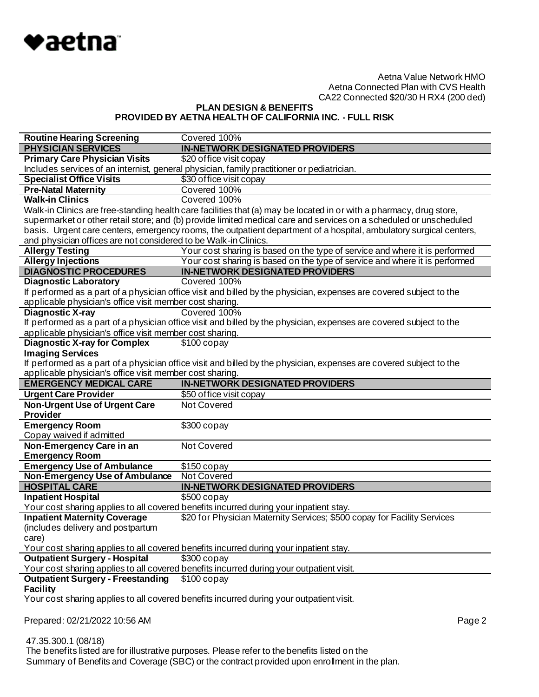

**PLAN DESIGN & BENEFITS PROVIDED BY AETNA HEALTH OF CALIFORNIA INC. - FULL RISK**

| <b>Routine Hearing Screening</b>                                | Covered 100%                                                                                                        |
|-----------------------------------------------------------------|---------------------------------------------------------------------------------------------------------------------|
| <b>PHYSICIAN SERVICES</b>                                       | <b>IN-NETWORK DESIGNATED PROVIDERS</b>                                                                              |
| <b>Primary Care Physician Visits</b>                            | \$20 office visit copay                                                                                             |
|                                                                 | Includes services of an internist, general physician, family practitioner or pediatrician.                          |
| <b>Specialist Office Visits</b>                                 | \$30 office visit copay                                                                                             |
| <b>Pre-Natal Maternity</b>                                      | Covered 100%                                                                                                        |
| <b>Walk-in Clinics</b>                                          | Covered 100%                                                                                                        |
|                                                                 | Walk-in Clinics are free-standing health care facilities that (a) may be located in or with a pharmacy, drug store, |
|                                                                 | supermarket or other retail store; and (b) provide limited medical care and services on a scheduled or unscheduled  |
|                                                                 | basis. Urgent care centers, emergency rooms, the outpatient department of a hospital, ambulatory surgical centers,  |
| and physician offices are not considered to be Walk-in Clinics. |                                                                                                                     |
| <b>Allergy Testing</b>                                          | Your cost sharing is based on the type of service and where it is performed                                         |
| <b>Allergy Injections</b>                                       | Your cost sharing is based on the type of service and where it is performed                                         |
| <b>DIAGNOSTIC PROCEDURES</b>                                    | <b>IN-NETWORK DESIGNATED PROVIDERS</b>                                                                              |
| <b>Diagnostic Laboratory</b>                                    | Covered 100%                                                                                                        |
|                                                                 | If performed as a part of a physician office visit and billed by the physician, expenses are covered subject to the |
| applicable physician's office visit member cost sharing.        |                                                                                                                     |
| <b>Diagnostic X-ray</b>                                         | Covered 100%                                                                                                        |
|                                                                 | If performed as a part of a physician office visit and billed by the physician, expenses are covered subject to the |
| applicable physician's office visit member cost sharing.        |                                                                                                                     |
| <b>Diagnostic X-ray for Complex</b>                             | $$100$ copay                                                                                                        |
| <b>Imaging Services</b>                                         |                                                                                                                     |
|                                                                 | If performed as a part of a physician office visit and billed by the physician, expenses are covered subject to the |
| applicable physician's office visit member cost sharing.        |                                                                                                                     |
|                                                                 |                                                                                                                     |
| <b>EMERGENCY MEDICAL CARE</b>                                   | <b>IN-NETWORK DESIGNATED PROVIDERS</b>                                                                              |
| <b>Urgent Care Provider</b>                                     | \$50 office visit copay                                                                                             |
| <b>Non-Urgent Use of Urgent Care</b>                            | Not Covered                                                                                                         |
| <b>Provider</b>                                                 |                                                                                                                     |
| <b>Emergency Room</b>                                           | $$300$ copay                                                                                                        |
| Copay waived if admitted                                        |                                                                                                                     |
| Non-Emergency Care in an                                        | Not Covered                                                                                                         |
| <b>Emergency Room</b>                                           |                                                                                                                     |
| <b>Emergency Use of Ambulance</b>                               | \$150 copay                                                                                                         |
| Non-Emergency Use of Ambulance                                  | <b>Not Covered</b>                                                                                                  |
| <b>HOSPITAL CARE</b>                                            | <b>IN-NETWORK DESIGNATED PROVIDERS</b>                                                                              |
| <b>Inpatient Hospital</b>                                       | \$500 copay                                                                                                         |
|                                                                 | Your cost sharing applies to all covered benefits incurred during your inpatient stay.                              |
| <b>Inpatient Maternity Coverage</b>                             | \$20 for Physician Maternity Services; \$500 copay for Facility Services                                            |
| (includes delivery and postpartum                               |                                                                                                                     |
| care)                                                           |                                                                                                                     |
|                                                                 | Your cost sharing applies to all covered benefits incurred during your inpatient stay.                              |
| <b>Outpatient Surgery - Hospital</b>                            | $$300$ copay                                                                                                        |
|                                                                 | Your cost sharing applies to all covered benefits incurred during your outpatient visit.                            |
| <b>Outpatient Surgery - Freestanding</b>                        | $$100$ copay                                                                                                        |
| <b>Facility</b>                                                 |                                                                                                                     |
|                                                                 | Your cost sharing applies to all covered benefits incurred during your outpatient visit.                            |
| Prepared: 02/21/2022 10:56 AM                                   | Page 2                                                                                                              |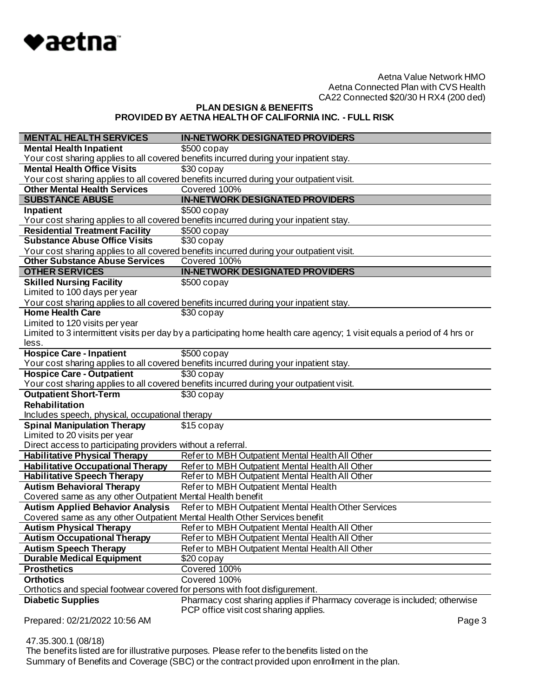

**PLAN DESIGN & BENEFITS PROVIDED BY AETNA HEALTH OF CALIFORNIA INC. - FULL RISK**

| <b>MENTAL HEALTH SERVICES</b>                                               | <b>IN-NETWORK DESIGNATED PROVIDERS</b>                                                                                   |
|-----------------------------------------------------------------------------|--------------------------------------------------------------------------------------------------------------------------|
| <b>Mental Health Inpatient</b>                                              | $$500$ copay                                                                                                             |
|                                                                             | Your cost sharing applies to all covered benefits incurred during your inpatient stay.                                   |
| <b>Mental Health Office Visits</b>                                          | \$30 copay                                                                                                               |
|                                                                             | Your cost sharing applies to all covered benefits incurred during your outpatient visit.                                 |
| <b>Other Mental Health Services</b>                                         | Covered 100%                                                                                                             |
| <b>SUBSTANCE ABUSE</b>                                                      | <b>IN-NETWORK DESIGNATED PROVIDERS</b>                                                                                   |
| Inpatient                                                                   | \$500 copay                                                                                                              |
|                                                                             | Your cost sharing applies to all covered benefits incurred during your inpatient stay.                                   |
| <b>Residential Treatment Facility</b>                                       | $$500$ copay                                                                                                             |
| <b>Substance Abuse Office Visits</b>                                        | $$30$ copay                                                                                                              |
|                                                                             | Your cost sharing applies to all covered benefits incurred during your outpatient visit.                                 |
| <b>Other Substance Abuse Services</b>                                       | Covered 100%                                                                                                             |
| <b>OTHER SERVICES</b>                                                       | <b>IN-NETWORK DESIGNATED PROVIDERS</b>                                                                                   |
| <b>Skilled Nursing Facility</b>                                             | $$500$ copay                                                                                                             |
| Limited to 100 days per year                                                |                                                                                                                          |
| <b>Home Health Care</b>                                                     | Your cost sharing applies to all covered benefits incurred during your inpatient stay.                                   |
|                                                                             | \$30 copay                                                                                                               |
| Limited to 120 visits per year                                              |                                                                                                                          |
|                                                                             | Limited to 3 intermittent visits per day by a participating home health care agency; 1 visit equals a period of 4 hrs or |
| less.                                                                       | \$500 copay                                                                                                              |
| <b>Hospice Care - Inpatient</b>                                             | Your cost sharing applies to all covered benefits incurred during your inpatient stay.                                   |
| <b>Hospice Care - Outpatient</b>                                            | \$30 copay                                                                                                               |
|                                                                             | Your cost sharing applies to all covered benefits incurred during your outpatient visit.                                 |
| <b>Outpatient Short-Term</b>                                                | \$30 copay                                                                                                               |
| Rehabilitation                                                              |                                                                                                                          |
| Includes speech, physical, occupational therapy                             |                                                                                                                          |
| <b>Spinal Manipulation Therapy</b>                                          | \$15 copay                                                                                                               |
| Limited to 20 visits per year                                               |                                                                                                                          |
| Direct access to participating providers without a referral.                |                                                                                                                          |
| <b>Habilitative Physical Therapy</b>                                        | Refer to MBH Outpatient Mental Health All Other                                                                          |
| <b>Habilitative Occupational Therapy</b>                                    | Refer to MBH Outpatient Mental Health All Other                                                                          |
| <b>Habilitative Speech Therapy</b>                                          | Refer to MBH Outpatient Mental Health All Other                                                                          |
| <b>Autism Behavioral Therapy</b>                                            | Refer to MBH Outpatient Mental Health                                                                                    |
| Covered same as any other Outpatient Mental Health benefit                  |                                                                                                                          |
| <b>Autism Applied Behavior Analysis</b>                                     | Refer to MBH Outpatient Mental Health Other Services                                                                     |
| Covered same as any other Outpatient Mental Health Other Services benefit   |                                                                                                                          |
| <b>Autism Physical Therapy</b>                                              | Refer to MBH Outpatient Mental Health All Other                                                                          |
| <b>Autism Occupational Therapy</b>                                          | Refer to MBH Outpatient Mental Health All Other                                                                          |
| <b>Autism Speech Therapy</b>                                                | Refer to MBH Outpatient Mental Health All Other                                                                          |
| <b>Durable Medical Equipment</b>                                            | \$20 copay                                                                                                               |
| <b>Prosthetics</b>                                                          | Covered 100%                                                                                                             |
| <b>Orthotics</b>                                                            | Covered 100%                                                                                                             |
| Orthotics and special footwear covered for persons with foot disfigurement. |                                                                                                                          |
| <b>Diabetic Supplies</b>                                                    | Pharmacy cost sharing applies if Pharmacy coverage is included; otherwise                                                |
|                                                                             | PCP office visit cost sharing applies.                                                                                   |
| Prepared: 02/21/2022 10:56 AM                                               | Page 3                                                                                                                   |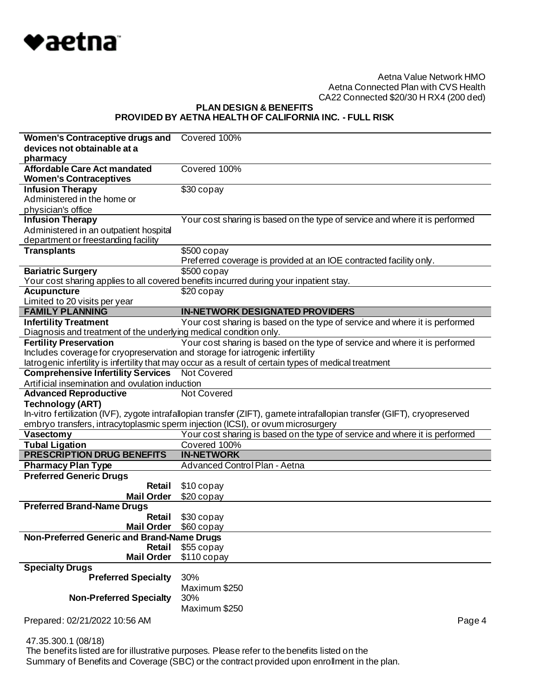

**PLAN DESIGN & BENEFITS PROVIDED BY AETNA HEALTH OF CALIFORNIA INC. - FULL RISK**

| Women's Contraceptive drugs and Covered 100%                                  |                                                                                                                           |
|-------------------------------------------------------------------------------|---------------------------------------------------------------------------------------------------------------------------|
| devices not obtainable at a                                                   |                                                                                                                           |
| pharmacy                                                                      |                                                                                                                           |
| <b>Affordable Care Act mandated</b>                                           | Covered 100%                                                                                                              |
| <b>Women's Contraceptives</b>                                                 |                                                                                                                           |
| <b>Infusion Therapy</b>                                                       | $\overline{$30}$ copay                                                                                                    |
| Administered in the home or                                                   |                                                                                                                           |
| physician's office                                                            |                                                                                                                           |
| <b>Infusion Therapy</b>                                                       | Your cost sharing is based on the type of service and where it is performed                                               |
| Administered in an outpatient hospital                                        |                                                                                                                           |
| department or freestanding facility                                           |                                                                                                                           |
| <b>Transplants</b>                                                            | \$500 copay                                                                                                               |
| <b>Bariatric Surgery</b>                                                      | Preferred coverage is provided at an IOE contracted facility only.<br>$$500$ copay                                        |
|                                                                               | Your cost sharing applies to all covered benefits incurred during your inpatient stay.                                    |
| <b>Acupuncture</b>                                                            | $$20$ copay                                                                                                               |
| Limited to 20 visits per year                                                 |                                                                                                                           |
| <b>FAMILY PLANNING</b>                                                        | <b>IN-NETWORK DESIGNATED PROVIDERS</b>                                                                                    |
| <b>Infertility Treatment</b>                                                  | Your cost sharing is based on the type of service and where it is performed                                               |
| Diagnosis and treatment of the underlying medical condition only.             |                                                                                                                           |
| <b>Fertility Preservation</b>                                                 | Your cost sharing is based on the type of service and where it is performed                                               |
| Includes coverage for cryopreservation and storage for iatrogenic infertility |                                                                                                                           |
|                                                                               | latrogenic infertility is infertility that may occur as a result of certain types of medical treatment                    |
| <b>Comprehensive Infertility Services</b> Not Covered                         |                                                                                                                           |
| Artificial insemination and ovulation induction                               |                                                                                                                           |
| <b>Advanced Reproductive</b>                                                  | <b>Not Covered</b>                                                                                                        |
|                                                                               |                                                                                                                           |
| <b>Technology (ART)</b>                                                       |                                                                                                                           |
|                                                                               | In-vitro fertilization (IVF), zygote intrafallopian transfer (ZIFT), gamete intrafallopian transfer (GIFT), cryopreserved |
|                                                                               | embryo transfers, intracytoplasmic sperm injection (ICSI), or ovum microsurgery                                           |
| Vasectomy                                                                     | Your cost sharing is based on the type of service and where it is performed                                               |
| <b>Tubal Ligation</b>                                                         | Covered 100%                                                                                                              |
| <b>PRESCRIPTION DRUG BENEFITS</b>                                             | <b>IN-NETWORK</b>                                                                                                         |
| <b>Pharmacy Plan Type</b>                                                     | Advanced Control Plan - Aetna                                                                                             |
| <b>Preferred Generic Drugs</b>                                                |                                                                                                                           |
| Retail                                                                        | \$10 copay                                                                                                                |
| <b>Mail Order</b>                                                             | \$20 copay                                                                                                                |
| <b>Preferred Brand-Name Drugs</b>                                             |                                                                                                                           |
| Retail                                                                        | \$30 copay                                                                                                                |
| Mail Order \$60 copay                                                         |                                                                                                                           |
| Non-Preferred Generic and Brand-Name Drugs                                    |                                                                                                                           |
| Retail                                                                        | \$55 copay                                                                                                                |
| <b>Mail Order</b>                                                             | \$110 copay                                                                                                               |
| <b>Specialty Drugs</b>                                                        |                                                                                                                           |
| <b>Preferred Specialty</b>                                                    | 30%                                                                                                                       |
|                                                                               | Maximum \$250                                                                                                             |
| <b>Non-Preferred Specialty</b>                                                | 30%                                                                                                                       |
| Prepared: 02/21/2022 10:56 AM                                                 | Maximum \$250<br>Page 4                                                                                                   |

47.35.300.1 (08/18)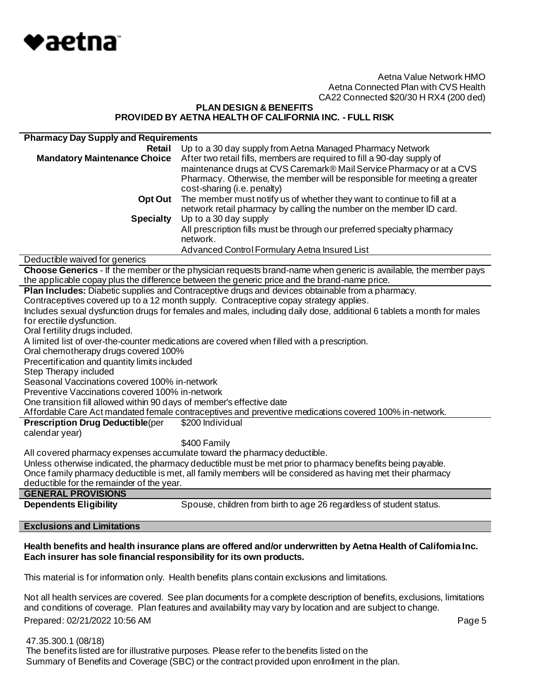

# **PLAN DESIGN & BENEFITS PROVIDED BY AETNA HEALTH OF CALIFORNIA INC. - FULL RISK**

| <b>Pharmacy Day Supply and Requirements</b>                                                                |                                                                                                                       |  |
|------------------------------------------------------------------------------------------------------------|-----------------------------------------------------------------------------------------------------------------------|--|
| <b>Retail</b>                                                                                              | Up to a 30 day supply from Aetna Managed Pharmacy Network                                                             |  |
| <b>Mandatory Maintenance Choice</b>                                                                        | After two retail fills, members are required to fill a 90-day supply of                                               |  |
|                                                                                                            | maintenance drugs at CVS Caremark® Mail Service Pharmacy or at a CVS                                                  |  |
|                                                                                                            | Pharmacy. Otherwise, the member will be responsible for meeting a greater                                             |  |
|                                                                                                            | cost-sharing (i.e. penalty)                                                                                           |  |
| Opt Out                                                                                                    | The member must notify us of whether they want to continue to fill at a                                               |  |
|                                                                                                            | network retail pharmacy by calling the number on the member ID card.                                                  |  |
| <b>Specialty</b>                                                                                           | Up to a 30 day supply                                                                                                 |  |
|                                                                                                            | All prescription fills must be through our preferred specialty pharmacy                                               |  |
|                                                                                                            | network.                                                                                                              |  |
|                                                                                                            | Advanced Control Formulary Aetna Insured List                                                                         |  |
| Deductible waived for generics                                                                             |                                                                                                                       |  |
|                                                                                                            | Choose Generics - If the member or the physician requests brand-name when generic is available, the member pays       |  |
|                                                                                                            | the applicable copay plus the difference between the generic price and the brand-name price.                          |  |
| Plan Includes: Diabetic supplies and Contraceptive drugs and devices obtainable from a pharmacy.           |                                                                                                                       |  |
|                                                                                                            | Contraceptives covered up to a 12 month supply. Contraceptive copay strategy applies.                                 |  |
|                                                                                                            | Includes sexual dysfunction drugs for females and males, including daily dose, additional 6 tablets a month for males |  |
| for erectile dysfunction.                                                                                  |                                                                                                                       |  |
| Oral fertility drugs included.                                                                             |                                                                                                                       |  |
| A limited list of over-the-counter medications are covered when filled with a prescription.                |                                                                                                                       |  |
| Oral chemotherapy drugs covered 100%                                                                       |                                                                                                                       |  |
| Precertification and quantity limits included                                                              |                                                                                                                       |  |
| Step Therapy included                                                                                      |                                                                                                                       |  |
| Seasonal Vaccinations covered 100% in-network                                                              |                                                                                                                       |  |
| Preventive Vaccinations covered 100% in-network                                                            |                                                                                                                       |  |
| One transition fill allowed within 90 days of member's effective date                                      |                                                                                                                       |  |
| Affordable Care Act mandated female contraceptives and preventive medications covered 100% in-network.     |                                                                                                                       |  |
| <b>Prescription Drug Deductible(per</b>                                                                    | \$200 Individual                                                                                                      |  |
| calendar year)                                                                                             |                                                                                                                       |  |
|                                                                                                            | \$400 Family                                                                                                          |  |
| All covered pharmacy expenses accumulate toward the pharmacy deductible.                                   |                                                                                                                       |  |
| Unless otherwise indicated, the pharmacy deductible must be met prior to pharmacy benefits being payable.  |                                                                                                                       |  |
| Once family pharmacy deductible is met, all family members will be considered as having met their pharmacy |                                                                                                                       |  |
| deductible for the remainder of the year.                                                                  |                                                                                                                       |  |
| <b>GENERAL PROVISIONS</b>                                                                                  |                                                                                                                       |  |
| <b>Dependents Eligibility</b>                                                                              | Spouse, children from birth to age 26 regardless of student status.                                                   |  |
|                                                                                                            |                                                                                                                       |  |

#### **Exclusions and Limitations**

# **Health benefits and health insurance plans are offered and/or underwritten by Aetna Health of California Inc. Each insurer has sole financial responsibility for its own products.**

This material is for information only. Health benefits plans contain exclusions and limitations.

Prepared: 02/21/2022 10:56 AM **Page 5** Not all health services are covered. See plan documents for a complete description of benefits, exclusions, limitations and conditions of coverage. Plan features and availability may vary by location and are subject to change.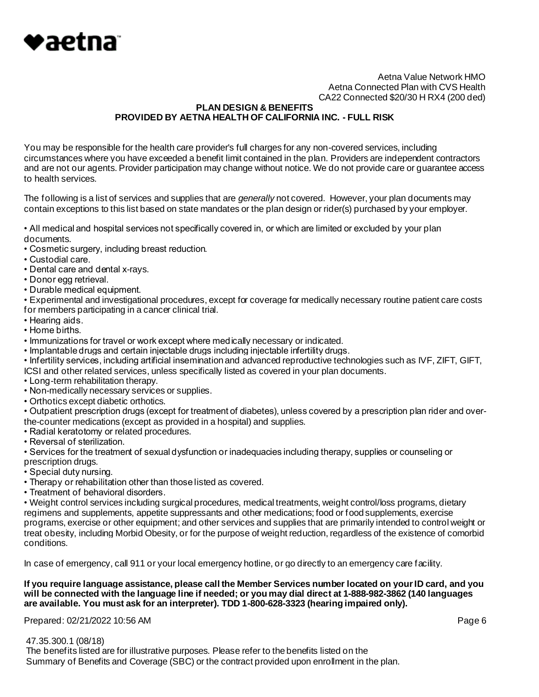

# **PLAN DESIGN & BENEFITS PROVIDED BY AETNA HEALTH OF CALIFORNIA INC. - FULL RISK**

You may be responsible for the health care provider's full charges for any non-covered services, including circumstances where you have exceeded a benefit limit contained in the plan. Providers are independent contractors and are not our agents. Provider participation may change without notice. We do not provide care or guarantee access to health services.

The following is a list of services and supplies that are *generally* not covered. However, your plan documents may contain exceptions to this list based on state mandates or the plan design or rider(s) purchased by your employer.

• All medical and hospital services not specifically covered in, or which are limited or excluded by your plan documents.

- Cosmetic surgery, including breast reduction.
- Custodial care.
- Dental care and dental x-rays.
- Donor egg retrieval.
- Durable medical equipment.

• Experimental and investigational procedures, except for coverage for medically necessary routine patient care costs for members participating in a cancer clinical trial.

- Hearing aids.
- Home births.
- Immunizations for travel or work except where medically necessary or indicated.
- Implantable drugs and certain injectable drugs including injectable infertility drugs.

• Infertility services, including artificial insemination and advanced reproductive technologies such as IVF, ZIFT, GIFT,

- ICSI and other related services, unless specifically listed as covered in your plan documents.
- Long-term rehabilitation therapy.
- Non-medically necessary services or supplies.
- Orthotics except diabetic orthotics.

• Outpatient prescription drugs (except for treatment of diabetes), unless covered by a prescription plan rider and overthe-counter medications (except as provided in a hospital) and supplies.

- Radial keratotomy or related procedures.
- Reversal of sterilization.

• Services for the treatment of sexual dysfunction or inadequacies including therapy, supplies or counseling or prescription drugs.

- Special duty nursing.
- Therapy or rehabilitation other than those listed as covered.
- Treatment of behavioral disorders.

• Weight control services including surgical procedures, medical treatments, weight control/loss programs, dietary regimens and supplements, appetite suppressants and other medications; food or food supplements, exercise programs, exercise or other equipment; and other services and supplies that are primarily intended to control weight or treat obesity, including Morbid Obesity, or for the purpose of weight reduction, regardless of the existence of comorbid conditions.

In case of emergency, call 911 or your local emergency hotline, or go directly to an emergency care facility.

## **If you require language assistance, please call the Member Services number located on your ID card, and you will be connected with the language line if needed; or you may dial direct at 1-888-982-3862 (140 languages are available. You must ask for an interpreter). TDD 1-800-628-3323 (hearing impaired only).**

Prepared: 02/21/2022 10:56 AM **Page 6**